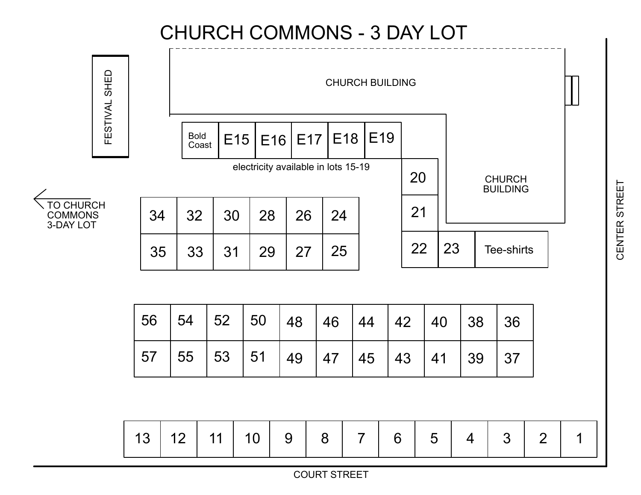## CHURCH COMMONS - 3 DAY LOT



13 | 12 | 11 | 10 | 9 | 8 | 7 | 6 | 5 | 4 | 3 | 2 | 1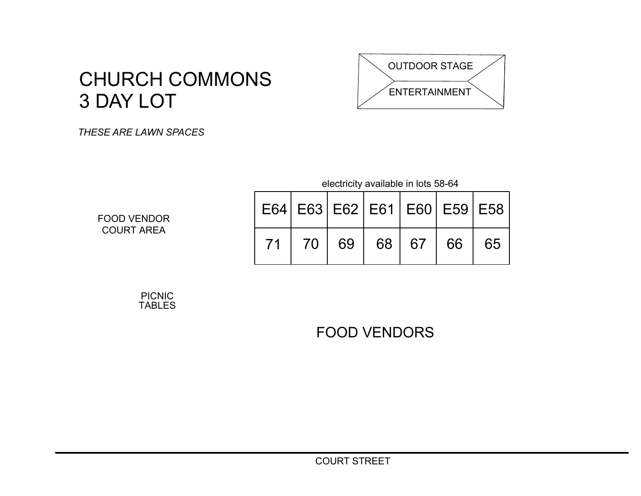

## CHURCH COMMONS 3 DAY LOT

## *THESE ARE LAWN SPACES*

electricity available in lots 58-64

|    | $E64$   E63   E62   E61   E60   E59   E58 |  |  |
|----|-------------------------------------------|--|--|
| 71 | 70 69 68 67 66 65                         |  |  |

FOOD VENDOR COURT AREA

> PICNIC TABLES

> > FOOD VENDORS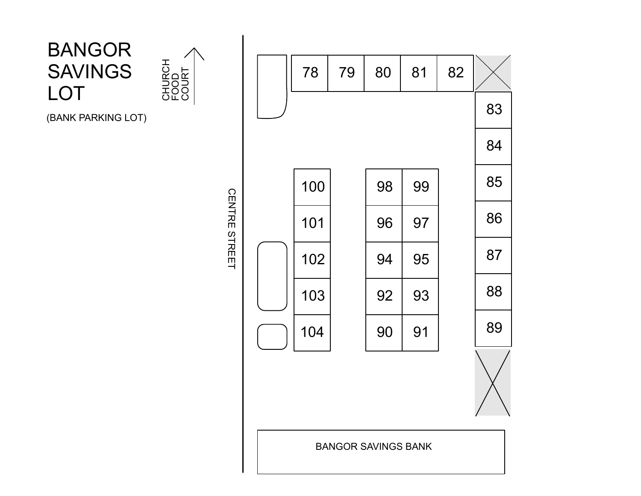



(BANK PARKING LOT)



CENTRE STREET CENTRE STREET